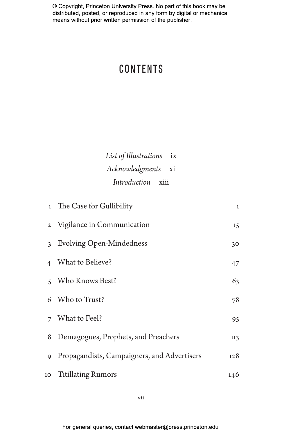# **CONTENTS**

| List of Illustrations ix |  |  |
|--------------------------|--|--|
| Acknowledgments xi       |  |  |
| <i>Introduction</i> xiii |  |  |

|   | 1 The Case for Gullibility                  | $\mathbf{1}$ |
|---|---------------------------------------------|--------------|
|   | 2 Vigilance in Communication                | 15           |
|   | 3 Evolving Open-Mindedness                  | 30           |
|   | 4 What to Believe?                          | 47           |
|   | 5 Who Knows Best?                           | 63           |
|   | 6 Who to Trust?                             | 78           |
|   | 7 What to Feel?                             | 95           |
| 8 | Demagogues, Prophets, and Preachers         | 113          |
| 9 | Propagandists, Campaigners, and Advertisers | 128          |
|   | 10 Titillating Rumors                       | 146          |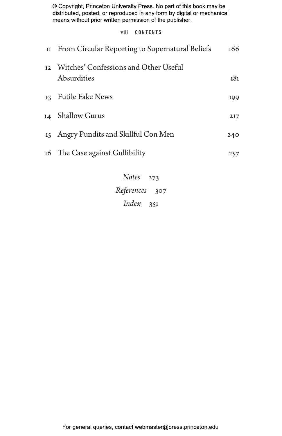#### viii CONTENTS

| 11 From Circular Reporting to Supernatural Beliefs      | 166 |
|---------------------------------------------------------|-----|
| 12 Witches' Confessions and Other Useful<br>Absurdities | 181 |
| 13 Futile Fake News                                     | 199 |
| 14 Shallow Gurus                                        | 217 |
| 15 Angry Pundits and Skillful Con Men                   | 240 |
| 16 The Case against Gullibility                         | 257 |
| Notes<br>273                                            |     |

*References* 307 *Index* 351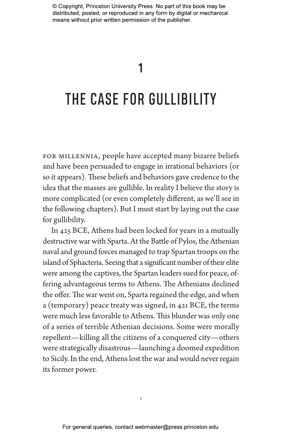# 1

# THE CASE FOR GULLIBILITY

FOR MILLENNIA, people have accepted many bizarre beliefs and have been persuaded to engage in irrational behaviors (or so it appears). These beliefs and behaviors gave credence to the idea that the masses are gullible. In reality I believe the story is more complicated (or even completely different, as we'll see in the following chapters). But I must start by laying out the case for gullibility.

In 425 BCE, Athens had been locked for years in a mutually destructive war with Sparta. At the Battle of Pylos, the Athenian naval and ground forces managed to trap Spartan troops on the island of Sphacteria. Seeing that a significant number of their elite were among the captives, the Spartan leaders sued for peace, offering advantageous terms to Athens. The Athenians declined the offer. The war went on, Sparta regained the edge, and when a (temporary) peace treaty was signed, in 421 BCE, the terms were much less favorable to Athens. This blunder was only one of a series of terrible Athenian decisions. Some were morally repellent—killing all the citizens of a conquered city—others were strategically disastrous—launching a doomed expedition to Sicily. In the end, Athens lost the war and would never regain its former power.

1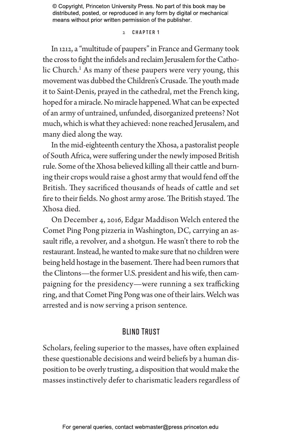#### 2 chapter 1

In 1212, a "multitude of paupers" in France and Germany took the cross to fight the infidels and reclaim Jerusalem for the Catholic Church.<sup>1</sup> As many of these paupers were very young, this movement was dubbed the Children's Crusade. The youth made it to Saint-Denis, prayed in the cathedral, met the French king, hoped for a miracle. No miracle happened. What can be expected of an army of untrained, unfunded, disorganized preteens? Not much, which is what they achieved: none reached Jerusalem, and many died along the way.

In the mid-eighteenth century the Xhosa, a pastoralist people of South Africa, were suffering under the newly imposed British rule. Some of the Xhosa believed killing all their cattle and burning their crops would raise a ghost army that would fend off the British. They sacrificed thousands of heads of cattle and set fire to their fields. No ghost army arose. The British stayed. The Xhosa died.

On December 4, 2016, Edgar Maddison Welch entered the Comet Ping Pong pizzeria in Washington, DC, carrying an assault rifle, a revolver, and a shotgun. He wasn't there to rob the restaurant. Instead, he wanted to make sure that no children were being held hostage in the basement. There had been rumors that the Clintons—the former U.S. president and his wife, then campaigning for the presidency—were running a sex trafficking ring, and that Comet Ping Pong was one of their lairs. Welch was arrested and is now serving a prison sentence.

### Blind Trust

Scholars, feeling superior to the masses, have often explained these questionable decisions and weird beliefs by a human disposition to be overly trusting, a disposition that would make the masses instinctively defer to charismatic leaders regardless of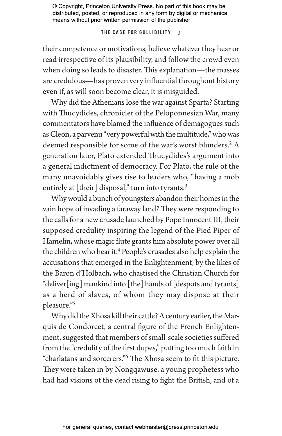#### THE CASE FOR GULLIBILITY  $3$

their competence or motivations, believe whatever they hear or read irrespective of its plausibility, and follow the crowd even when doing so leads to disaster. This explanation—the masses are credulous—has proven very influential throughout history even if, as will soon become clear, it is misguided.

Why did the Athenians lose the war against Sparta? Starting with Thucydides, chronicler of the Peloponnesian War, many commentators have blamed the influence of demagogues such as Cleon, a parvenu "very powerful with the multitude," who was deemed responsible for some of the war's worst blunders.<sup>2</sup> A generation later, Plato extended Thucydides's argument into a general indictment of democracy. For Plato, the rule of the many unavoidably gives rise to leaders who, "having a mob entirely at  $[$ their $]$  disposal," turn into tyrants. $3$ 

Why would a bunch of youngsters abandon their homes in the vain hope of invading a faraway land? They were responding to the calls for a new crusade launched by Pope Innocent III, their supposed credulity inspiring the legend of the Pied Piper of Hamelin, whose magic flute grants him absolute power over all the children who hear it.<sup>4</sup> People's crusades also help explain the accusations that emerged in the Enlightenment, by the likes of the Baron d'Holbach, who chastised the Christian Church for "deliver[ing] mankind into [the] hands of [despots and tyrants] as a herd of slaves, of whom they may dispose at their pleasure."5

Why did the Xhosa kill their cattle? A century earlier, the Marquis de Condorcet, a central figure of the French Enlightenment, suggested that members of small-scale societies suffered from the "credulity of the first dupes," putting too much faith in "charlatans and sorcerers."6 The Xhosa seem to fit this picture. They were taken in by Nongqawuse, a young prophetess who had had visions of the dead rising to fight the British, and of a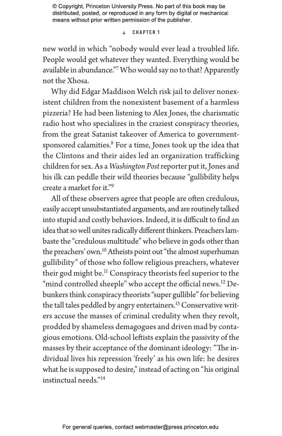#### 4 chapter 1

new world in which "nobody would ever lead a troubled life. People would get whatever they wanted. Everything would be available in abundance."7 Who would say no to that? Apparently not the Xhosa.

Why did Edgar Maddison Welch risk jail to deliver nonexistent children from the nonexistent basement of a harmless pizzeria? He had been listening to Alex Jones, the charismatic radio host who specializes in the craziest conspiracy theories, from the great Satanist takeover of America to governmentsponsored calamities.<sup>8</sup> For a time, Jones took up the idea that the Clintons and their aides led an organization trafficking children for sex. As a *Washington Post* reporter put it, Jones and his ilk can peddle their wild theories because "gullibility helps create a market for it."9

All of these observers agree that people are often credulous, easily accept unsubstantiated arguments, and are routinely talked into stupid and costly behaviors. Indeed, it is difficult to find an idea that so well unites radically different thinkers. Preachers lambaste the "credulous multitude" who believe in gods other than the preachers' own.<sup>10</sup> Atheists point out "the almost superhuman gullibility" of those who follow religious preachers, whatever their god might be.<sup>11</sup> Conspiracy theorists feel superior to the "mind controlled sheeple" who accept the official news.<sup>12</sup> Debunkers think conspiracy theorists "super gullible" for believing the tall tales peddled by angry entertainers.<sup>13</sup> Conservative writers accuse the masses of criminal credulity when they revolt, prodded by shameless demagogues and driven mad by contagious emotions. Old-school leftists explain the passivity of the masses by their acceptance of the dominant ideology: "The individual lives his repression 'freely' as his own life: he desires what he is supposed to desire," instead of acting on "his original instinctual needs."14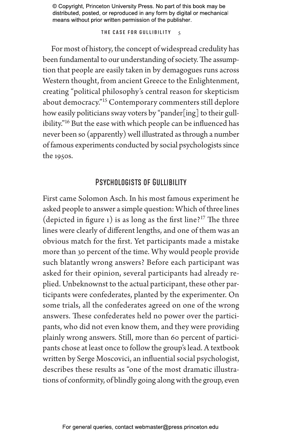THE CASE FOR GULLIBILITY  $5$ 

For most of history, the concept of widespread credulity has been fundamental to our understanding of society. The assumption that people are easily taken in by demagogues runs across Western thought, from ancient Greece to the Enlightenment, creating "political philosophy's central reason for skepticism about democracy."<sup>15</sup> Contemporary commenters still deplore how easily politicians sway voters by "pander[ing] to their gullibility."16 But the ease with which people can be influenced has never been so (apparently) well illustrated as through a number of famous experiments conducted by social psychologists since the 1950s.

## Psychologists of Gullibility

First came Solomon Asch. In his most famous experiment he asked people to answer a simple question: Which of three lines (depicted in figure 1) is as long as the first line?<sup>17</sup> The three lines were clearly of different lengths, and one of them was an obvious match for the first. Yet participants made a mistake more than 30 percent of the time. Why would people provide such blatantly wrong answers? Before each participant was asked for their opinion, several participants had already replied. Unbeknownst to the actual participant, these other participants were confederates, planted by the experimenter. On some trials, all the confederates agreed on one of the wrong answers. These confederates held no power over the participants, who did not even know them, and they were providing plainly wrong answers. Still, more than 60 percent of participants chose at least once to follow the group's lead. A textbook written by Serge Moscovici, an influential social psychologist, describes these results as "one of the most dramatic illustrations of conformity, of blindly going along with the group, even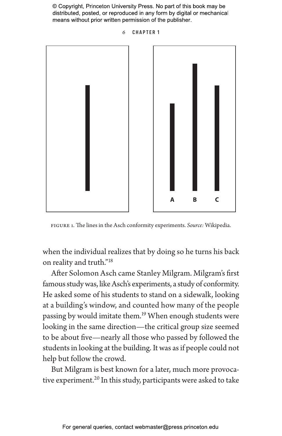**A B C**

6 chapter 1

Figure 1. The lines in the Asch conformity experiments. *Source:* Wikipedia.

when the individual realizes that by doing so he turns his back on reality and truth."18

After Solomon Asch came Stanley Milgram. Milgram's first famous study was, like Asch's experiments, a study of conformity. He asked some of his students to stand on a sidewalk, looking at a building's window, and counted how many of the people passing by would imitate them.<sup>19</sup> When enough students were looking in the same direction—the critical group size seemed to be about five—nearly all those who passed by followed the students in looking at the building. It was as if people could not help but follow the crowd.

But Milgram is best known for a later, much more provocative experiment.<sup>20</sup> In this study, participants were asked to take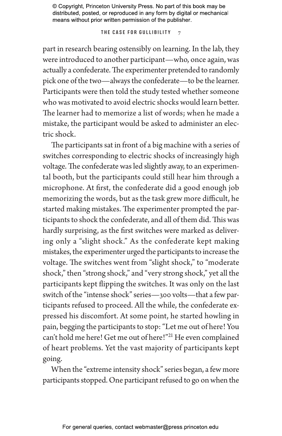#### THE CASE FOR GULLIBILITY  $7$

part in research bearing ostensibly on learning. In the lab, they were introduced to another participant—who, once again, was actually a confederate. The experimenter pretended to randomly pick one of the two—always the confederate—to be the learner. Participants were then told the study tested whether someone who was motivated to avoid electric shocks would learn better. The learner had to memorize a list of words; when he made a mistake, the participant would be asked to administer an electric shock.

The participants sat in front of a big machine with a series of switches corresponding to electric shocks of increasingly high voltage. The confederate was led slightly away, to an experimental booth, but the participants could still hear him through a microphone. At first, the confederate did a good enough job memorizing the words, but as the task grew more difficult, he started making mistakes. The experimenter prompted the participants to shock the confederate, and all of them did. This was hardly surprising, as the first switches were marked as delivering only a "slight shock." As the confederate kept making mistakes, the experimenter urged the participants to increase the voltage. The switches went from "slight shock," to "moderate shock," then "strong shock," and "very strong shock," yet all the participants kept flipping the switches. It was only on the last switch of the "intense shock" series—300 volts—that a few participants refused to proceed. All the while, the confederate expressed his discomfort. At some point, he started howling in pain, begging the participants to stop: "Let me out of here! You can't hold me here! Get me out of here!"21 He even complained of heart problems. Yet the vast majority of participants kept going.

When the "extreme intensity shock" series began, a few more participants stopped. One participant refused to go on when the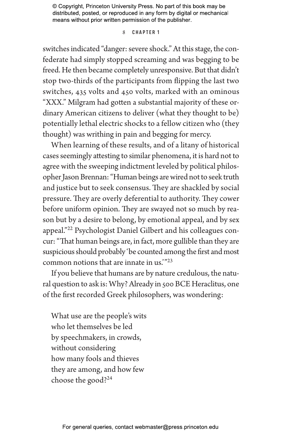#### 8 chapter 1

switches indicated "danger: severe shock." At this stage, the confederate had simply stopped screaming and was begging to be freed. He then became completely unresponsive. But that didn't stop two-thirds of the participants from flipping the last two switches, 435 volts and 450 volts, marked with an ominous "XXX." Milgram had gotten a substantial majority of these ordinary American citizens to deliver (what they thought to be) potentially lethal electric shocks to a fellow citizen who (they thought) was writhing in pain and begging for mercy.

When learning of these results, and of a litany of historical cases seemingly attesting to similar phenomena, it is hard not to agree with the sweeping indictment leveled by political philosopher Jason Brennan: "Human beings are wired not to seek truth and justice but to seek consensus. They are shackled by social pressure. They are overly deferential to authority. They cower before uniform opinion. They are swayed not so much by reason but by a desire to belong, by emotional appeal, and by sex appeal."22 Psychologist Daniel Gilbert and his colleagues concur: "That human beings are, in fact, more gullible than they are suspicious should probably 'be counted among the first and most common notions that are innate in us.'"23

If you believe that humans are by nature credulous, the natural question to ask is: Why? Already in 500 BCE Heraclitus, one of the first recorded Greek philosophers, was wondering:

What use are the people's wits who let themselves be led by speechmakers, in crowds, without considering how many fools and thieves they are among, and how few choose the good?<sup>24</sup>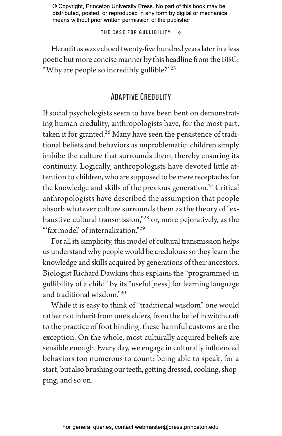THE CASE FOR GULLIBILITY

Heraclitus was echoed twenty-five hundred years later in a less poetic but more concise manner by this headline from the BBC: "Why are people so incredibly gullible?"25

## Adaptive Credulity

If social psychologists seem to have been bent on demonstrating human credulity, anthropologists have, for the most part, taken it for granted.<sup>26</sup> Many have seen the persistence of traditional beliefs and behaviors as unproblematic: children simply imbibe the culture that surrounds them, thereby ensuring its continuity. Logically, anthropologists have devoted little attention to children, who are supposed to be mere receptacles for the knowledge and skills of the previous generation.<sup>27</sup> Critical anthropologists have described the assumption that people absorb whatever culture surrounds them as the theory of "exhaustive cultural transmission,"28 or, more pejoratively, as the "'fax model' of internalization."29

For all its simplicity, this model of cultural transmission helps us understand why people would be credulous: so they learn the knowledge and skills acquired by generations of their ancestors. Biologist Richard Dawkins thus explains the "programmed-in gullibility of a child" by its "useful[ness] for learning language and traditional wisdom."30

While it is easy to think of "traditional wisdom" one would rather not inherit from one's elders, from the belief in witchcraft to the practice of foot binding, these harmful customs are the exception. On the whole, most culturally acquired beliefs are sensible enough. Every day, we engage in culturally influenced behaviors too numerous to count: being able to speak, for a start, but also brushing our teeth, getting dressed, cooking, shopping, and so on.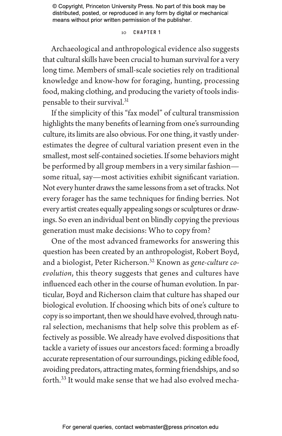#### 10 CHAPTER 1

Archaeological and anthropological evidence also suggests that cultural skills have been crucial to human survival for a very long time. Members of small-scale societies rely on traditional knowledge and know-how for foraging, hunting, processing food, making clothing, and producing the variety of tools indispensable to their survival.31

If the simplicity of this "fax model" of cultural transmission highlights the many benefits of learning from one's surrounding culture, its limits are also obvious. For one thing, it vastly underestimates the degree of cultural variation present even in the smallest, most self-contained societies. If some behaviors might be performed by all group members in a very similar fashion some ritual, say—most activities exhibit significant variation. Not every hunter draws the same lessons from a set of tracks. Not every forager has the same techniques for finding berries. Not every artist creates equally appealing songs or sculptures or drawings. So even an individual bent on blindly copying the previous generation must make decisions: Who to copy from?

One of the most advanced frameworks for answering this question has been created by an anthropologist, Robert Boyd, and a biologist, Peter Richerson.32 Known as *gene-culture coevolution*, this theory suggests that genes and cultures have influenced each other in the course of human evolution. In particular, Boyd and Richerson claim that culture has shaped our biological evolution. If choosing which bits of one's culture to copy is so important, then we should have evolved, through natural selection, mechanisms that help solve this problem as effectively as possible. We already have evolved dispositions that tackle a variety of issues our ancestors faced: forming a broadly accurate representation of our surroundings, picking edible food, avoiding predators, attracting mates, forming friendships, and so forth.33 It would make sense that we had also evolved mecha-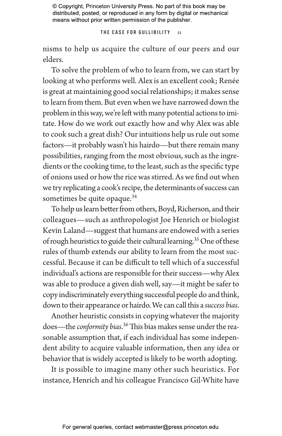THE CASE FOR GUILIBILITY

nisms to help us acquire the culture of our peers and our elders.

To solve the problem of who to learn from, we can start by looking at who performs well. Alex is an excellent cook; Renée is great at maintaining good social relationships; it makes sense to learn from them. But even when we have narrowed down the problem in this way, we're left with many potential actions to imitate. How do we work out exactly how and why Alex was able to cook such a great dish? Our intuitions help us rule out some factors—it probably wasn't his hairdo—but there remain many possibilities, ranging from the most obvious, such as the ingredients or the cooking time, to the least, such as the specific type of onions used or how the rice was stirred. As we find out when we try replicating a cook's recipe, the determinants of success can sometimes be quite opaque.<sup>34</sup>

To help us learn better from others, Boyd, Richerson, and their colleagues—such as anthropologist Joe Henrich or biologist Kevin Laland—suggest that humans are endowed with a series of rough heuristics to guide their cultural learning.<sup>35</sup> One of these rules of thumb extends our ability to learn from the most successful. Because it can be difficult to tell which of a successful individual's actions are responsible for their success—why Alex was able to produce a given dish well, say—it might be safer to copy indiscriminately everything successful people do and think, down to their appearance or hairdo. We can call this a *success bias*.

Another heuristic consists in copying whatever the majority does—the *conformity bias*. 36 This bias makes sense under the reasonable assumption that, if each individual has some independent ability to acquire valuable information, then any idea or behavior that is widely accepted is likely to be worth adopting.

It is possible to imagine many other such heuristics. For instance, Henrich and his colleague Francisco Gil-White have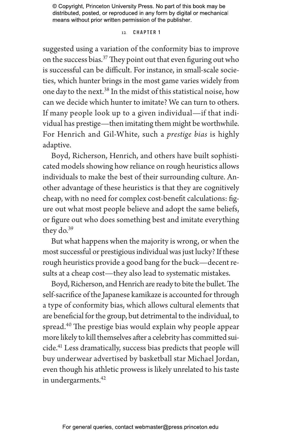#### 12 chapter 1

suggested using a variation of the conformity bias to improve on the success bias.37 They point out that even figuring out who is successful can be difficult. For instance, in small-scale societies, which hunter brings in the most game varies widely from one day to the next.38 In the midst of this statistical noise, how can we decide which hunter to imitate? We can turn to others. If many people look up to a given individual—if that individual has prestige—then imitating them might be worthwhile. For Henrich and Gil-White, such a *prestige bias* is highly adaptive.

Boyd, Richerson, Henrich, and others have built sophisticated models showing how reliance on rough heuristics allows individuals to make the best of their surrounding culture. Another advantage of these heuristics is that they are cognitively cheap, with no need for complex cost-benefit calculations: figure out what most people believe and adopt the same beliefs, or figure out who does something best and imitate everything they do. 39

But what happens when the majority is wrong, or when the most successful or prestigious individual was just lucky? If these rough heuristics provide a good bang for the buck—decent results at a cheap cost—they also lead to systematic mistakes.

Boyd, Richerson, and Henrich are ready to bite the bullet. The self-sacrifice of the Japanese kamikaze is accounted for through a type of conformity bias, which allows cultural elements that are beneficial for the group, but detrimental to the individual, to spread.<sup>40</sup> The prestige bias would explain why people appear more likely to kill themselves after a celebrity has committed suicide.41 Less dramatically, success bias predicts that people will buy underwear advertised by basketball star Michael Jordan, even though his athletic prowess is likely unrelated to his taste in undergarments.<sup>42</sup>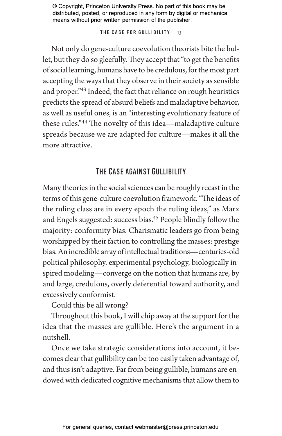THE CASE FOR GULLIBILITY 13

Not only do gene-culture coevolution theorists bite the bullet, but they do so gleefully. They accept that "to get the benefits of social learning, humans have to be credulous, for the most part accepting the ways that they observe in their society as sensible and proper."43 Indeed, the fact that reliance on rough heuristics predicts the spread of absurd beliefs and maladaptive behavior, as well as useful ones, is an "interesting evolutionary feature of these rules."44 The novelty of this idea—maladaptive culture spreads because we are adapted for culture—makes it all the more attractive.

## The Case against Gullibility

Many theories in the social sciences can be roughly recast in the terms of this gene-culture coevolution framework. "The ideas of the ruling class are in every epoch the ruling ideas," as Marx and Engels suggested: success bias.45 People blindly follow the majority: conformity bias. Charismatic leaders go from being worshipped by their faction to controlling the masses: prestige bias. An incredible array of intellectual traditions—centuries-old political philosophy, experimental psychology, biologically inspired modeling—converge on the notion that humans are, by and large, credulous, overly deferential toward authority, and excessively conformist.

Could this be all wrong?

Throughout this book, I will chip away at the support for the idea that the masses are gullible. Here's the argument in a nutshell.

Once we take strategic considerations into account, it becomes clear that gullibility can be too easily taken advantage of, and thus isn't adaptive. Far from being gullible, humans are endowed with dedicated cognitive mechanisms that allow them to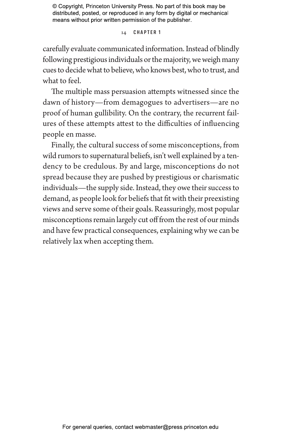#### 14 chapter 1

carefully evaluate communicated information. Instead of blindly following prestigious individuals or the majority, we weigh many cues to decide what to believe, who knows best, who to trust, and what to feel.

The multiple mass persuasion attempts witnessed since the dawn of history—from demagogues to advertisers—are no proof of human gullibility. On the contrary, the recurrent failures of these attempts attest to the difficulties of influencing people en masse.

Finally, the cultural success of some misconceptions, from wild rumors to supernatural beliefs, isn't well explained by a tendency to be credulous. By and large, misconceptions do not spread because they are pushed by prestigious or charismatic individuals—the supply side. Instead, they owe their success to demand, as people look for beliefs that fit with their preexisting views and serve some of their goals. Reassuringly, most popular misconceptions remain largely cut off from the rest of our minds and have few practical consequences, explaining why we can be relatively lax when accepting them.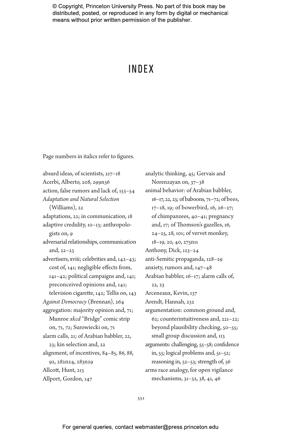# INDEX

Page numbers in italics refer to figures.

absurd ideas, of scientists, 217–18 Acerbi, Alberto, 208, 299n36 action, false rumors and lack of, 153–54 *Adaptation and Natural Selection* (Williams), 22 adaptations, 22; in communication, 18 adaptive credulity, 10–13; anthropologists on, 9 adversarial relationships, communication and, 22–23 advertisers, xviii; celebrities and, 142–43; cost of, 141; negligible effects from, 141–42; political campaigns and, 141; preconceived opinions and, 141; television cigarette, 142; Tellis on, 143 *Against Democracy* (Brennan), 264 aggregation: majority opinion and, 71; Munroe *xkcd* "Bridge" comic strip on, 71, *72*; Surowiecki on, 71 alarm calls, 21; of Arabian babbler, 22, 23; kin selection and, 22 alignment, of incentives, 84–85, 86, 88, 92, 282n24, 283n29 Allcott, Hunt, 213 Allport, Gordon, 147

analytic thinking, 45; Gervais and Norenzayan on, 37–38 animal behavior: of Arabian babbler, 16–17, 22, 23; of baboons, 71–72; of bees, 17–18, 19; of bowerbird, 16, 26–27; of chimpanzees, 40–41; pregnancy and, 17; of Thomson's gazelles, 16, 24–25, 28, 101; of vervet monkey, 18–19, 20, 40, 275n11 Anthony, Dick, 123–24 anti-Semitic propaganda, 128–29 anxiety, rumors and, 147–48 Arabian babbler, 16–17; alarm calls of, 22, 23 Arceneaux, Kevin, 137 Arendt, Hannah, 232 argumentation: common ground and, 62; counterintuitiveness and, 221–22; beyond plausibility checking, 50–55; small group discussion and, 113 arguments: challenging, 55–58; confidence in, 55; logical problems and, 51–52; reasoning in, 52–53; strength of, 56 arms race analogy, for open vigilance mechanisms, 31–32, 38, 41, 46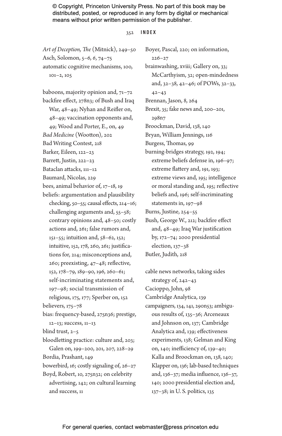#### 352 index

*Art of Deception, The* (Mitnick), 249–50 Asch, Solomon, 5–6, *6*, 74–75 automatic cognitive mechanisms, 100, 101–2, 105

baboons, majority opinion and, 71–72 backfire effect, 278n3; of Bush and Iraq War, 48–49; Nyhan and Reifler on, 48–49; vaccination opponents and, 49; Wood and Porter, E., on, 49 *Bad Medicine* (Wootton), 202 Bad Writing Contest, 218 Barker, Eileen, 122–23 Barrett, Justin, 222–23 Bataclan attacks, 111–12 Baumard, Nicolas, 229 bees, animal behavior of, 17–18, 19 beliefs: argumentation and plausibility checking, 50–55; causal effects, 214–16; challenging arguments and, 55–58; contrary opinions and, 48–50; costly actions and, 261; false rumors and, 151–55; intuition and, 58–62, 152; intuitive, 152, 178, 260, 261; justifications for, 214; misconceptions and, 260; preexisting, 47–48; reflective, 152, 178–79, 189–90, 196, 260–61; self-incriminating statements and, 197–98; social transmission of religious, 175, 177; Sperber on, 152

believers, 175–78

bias: frequency-based, 275n36; prestige, 12–13; success, 11–13

blind trust, 2–5

bloodletting practice: culture and, 203; Galen on, 199–200, 201, 207, 228–29

Bordia, Prashant, 149

bowerbird, 16; costly signaling of, 26–27 Boyd, Robert, 10, 275n32; on celebrity

advertising, 142; on cultural learning and success, 11

Boyer, Pascal, 220; on information, 226–27 brainwashing, xviii; Gallery on, 33; McCarthyism, 32; open-mindedness and, 32–38, 42–46; of POWs, 32–33,  $42 - 43$ Brennan, Jason, 8, 264 Brexit, 35; fake news and, 200–201, 298n7 Broockman, David, 138, 140 Bryan, William Jennings, 116 Burgess, Thomas, 99 burning-bridges strategy, 192, 194; extreme beliefs defense in, 196–97; extreme flattery and, 191, 193; extreme views and, 195; intelligence or moral standing and, 195; reflective beliefs and, 196; self-incriminating statements in, 197–98 Burns, Justine, 254–55 Bush, George W., 212; backfire effect and, 48–49; Iraq War justification by, 172–74; 2000 presidential election, 137–38

Butler, Judith, 218

cable news networks, taking sides strategy of, 242–43 Cacioppo, John, 98 Cambridge Analytica, 139 campaigners, 134, 141, 290n53; ambiguous results of, 135–36; Arceneaux and Johnson on, 137; Cambridge Analytica and, 139; effectiveness experiments, 138; Gelman and King on, 140; inefficiency of, 139–40; Kalla and Broockman on, 138, 140; Klapper on, 136; lab-based techniques and, 136–37; media influence, 136–37, 140; 2000 presidential election and, 137–38; in U. S. politics, 135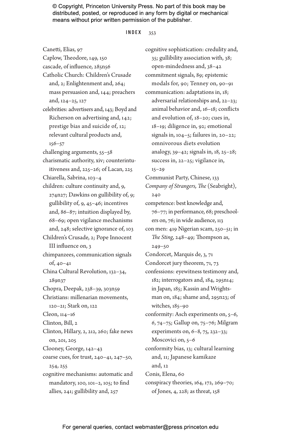#### index 353

Canetti, Elias, 97 Caplow, Theodore, 149, 150 cascade, of influence, 285n56 Catholic Church: Children's Crusade and, 2; Enlightenment and, 264; mass persuasion and, 144; preachers and, 124–25, 127 celebrities: advertisers and, 143; Boyd and Richerson on advertising and, 142; prestige bias and suicide of, 12; relevant cultural products and, 156–57 challenging arguments, 55–58 charismatic authority, xiv; counterintuitiveness and, 225–26; of Lacan, 225 Chiarella, Sabrina, 103–4 children: culture continuity and, 9, 274n27; Dawkins on gullibility of, 9; gullibility of, 9, 45–46; incentives and, 86–87; intuition displayed by, 68–69; open vigilance mechanisms and, 248; selective ignorance of, 103 Children's Crusade, 2; Pope Innocent III influence on, 3 chimpanzees, communication signals of, 40–41 China Cultural Revolution, 132–34, 289n37 Chopra, Deepak, 238–39, 303n59 Christians: millenarian movements, 120–21; Stark on, 122 Cleon, 114–16 Clinton, Bill, 2 Clinton, Hillary, 2, 212, 260; fake news on, 201, 205 Clooney, George, 142–43 coarse cues, for trust, 240–41, 247–50, 254, 255 cognitive mechanisms: automatic and mandatory, 100, 101–2, 105; to find allies, 241; gullibility and, 257

cognitive sophistication: credulity and, 35; gullibility association with, 38; open-mindedness and, 38–42 commitment signals, 89; epistemic modals for, 90; Tenney on, 90–91 communication: adaptations in, 18; adversarial relationships and, 22–23; animal behavior and, 16–18; conflicts and evolution of, 18–20; cues in, 18–19; diligence in, 92; emotional signals in, 104–5; failures in, 20–22; omnivorous diets evolution analogy, 39–42; signals in, 18, 25–28; success in, 22–25; vigilance in, 15–29 Communist Party, Chinese, 133 *Company of Strangers, The* (Seabright), 240 competence: best knowledge and, 76–77; in performance, 68; preschoolers on, 76; in wide audience, 113 con men: 419 Nigerian scam, 250–51; in *The Sting*, 248–49; Thompson as, 249–50 Condorcet, Marquis de, 3, 71 Condorcet jury theorem, 71, 73 confessions: eyewitness testimony and, 182; interrogators and, 184, 295n14; in Japan, 185; Kassin and Wrightsman on, 184; shame and, 295n23; of witches, 185–90 conformity: Asch experiments on, 5–6, *6*, 74–75; Gallup on, 75–76; Milgram experiments on, 6–8, 75, 232–33; Moscovici on, 5–6 conformity bias, 13; cultural learning and, 11; Japanese kamikaze and, 12 Conis, Elena, 60 conspiracy theories, 164, 172, 269–70; of Jones, 4, 228; as threat, 158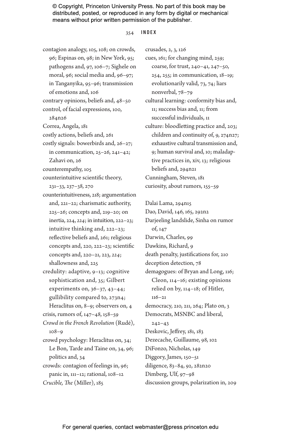#### 354 index

contagion analogy, 105, 108; on crowds, 96; Espinas on, 98; in New York, 95; pathogens and, 97, 106–7; Sighele on moral, 96; social media and, 96–97; in Tanganyika, 95–96; transmission of emotions and, 106 contrary opinions, beliefs and, 48–50 control, of facial expressions, 100, 284n26 Correa, Angela, 181 costly actions, beliefs and, 261 costly signals: bowerbirds and, 26–27; in communication, 25–26, 241–42; Zahavi on, 26 counterempathy, 105 counterintuitive scientific theory, 231–33, 237–38, 270 counterintuitiveness, 218; argumentation and, 221–22; charismatic authority, 225–26; concepts and, 219–20; on inertia, 224, *224*; in intuition, 222–23; intuitive thinking and, 222–23; reflective beliefs and, 261; religious concepts and, 220, 222–23; scientific concepts and, 220–21, 223, *224*; shallowness and, 225 credulity: adaptive, 9–13; cognitive sophistication and, 35; Gilbert experiments on, 36–37, 43–44; gullibility compared to, 273n4; Heraclitus on, 8–9; observers on, 4 crisis, rumors of, 147–48, 158–59 *Crowd in the French Revolution* (Rudé), 108–9 crowd psychology: Heraclitus on, 34; Le Bon, Tarde and Taine on, 34, 96; politics and, 34 crowds: contagion of feelings in, 96; panic in, 111–12; rational, 108–12 *Crucible, The* (Miller), 185

crusades, 2, 3, 126 cues, 161; for changing mind, 259; coarse, for trust, 240–41, 247–50, 254, 255; in communication, 18–19; evolutionarily valid, 73, 74; liars nonverbal, 78–79 cultural learning: conformity bias and, 11; success bias and, 11; from successful individuals, 11 culture: bloodletting practice and, 203; children and continuity of, 9, 274n27; exhaustive cultural transmission and, 9; human survival and, 10; maladaptive practices in, xiv, 13; religious beliefs and, 294n21 Cunningham, Steven, 181 curiosity, about rumors, 155–59

Dalai Lama, 294n15 Dao, David, 146, 165, 292n2 Darjeeling landslide, Sinha on rumor of, 147 Darwin, Charles, 99 Dawkins, Richard, 9 death penalty, justifications for, 210 deception detection, 78 demagogues: of Bryan and Long, 116; Cleon, 114–16; existing opinions relied on by, 114–18; of Hitler, 116–21 democracy, 210, 211, 264; Plato on, 3 Democrats, MSNBC and liberal, 242–43 Deskovic, Jeffrey, 181, 183 Dezecache, Guillaume, 98, 102 DiFonzo, Nicholas, 149 Diggory, James, 150–51 diligence, 83–84, 92, 282n20 Dimberg, Ulf, 97–98

discussion groups, polarization in, 209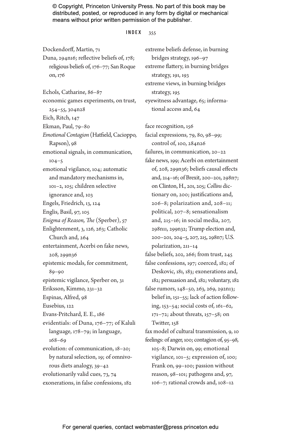#### index 355

Dockendorff, Martin, 71 Duna, 294n16; reflective beliefs of, 178; religious beliefs of, 176–77; San Roque on, 176 Echols, Catharine, 86–87 economic games experiments, on trust, 254–55, 304n28 Eich, Ritch, 147 Ekman, Paul, 79–80 *Emotional Contagion* (Hatfield, Cacioppo, Rapson), 98 emotional signals, in communication,  $104 - 5$ emotional vigilance, 104; automatic and mandatory mechanisms in, 101–2, 105; children selective ignorance and, 103 Engels, Friedrich, 13, 124 Englis, Basil, 97, 105 *Enigma of Reason, The* (Sperber), 57 Enlightenment, 3, 126, 263; Catholic Church and, 264 entertainment, Acerbi on fake news, 208, 299n36 epistemic modals, for commitment, 89–90 epistemic vigilance, Sperber on, 31 Eriksson, Kimmo, 231–32 Espinas, Alfred, 98 Eusebius, 122 Evans-Pritchard, E. E., 186 evidentials: of Duna, 176–77; of Kaluli language, 178–79; in language, 168–69 evolution: of communication, 18–20; by natural selection, 19; of omnivorous diets analogy, 39–42 evolutionarily valid cues, 73, 74 exonerations, in false confessions, 182

extreme beliefs defense, in burning bridges strategy, 196–97 extreme flattery, in burning bridges strategy, 191, 193 extreme views, in burning bridges strategy, 195 eyewitness advantage, 65; informational access and, 64 face recognition, 156 facial expressions, 79, 80, 98–99; control of, 100, 284n26 failures, in communication, 20–22 fake news, 199; Acerbi on entertainment of, 208, 299n36; beliefs causal effects

and, 214–16; of Brexit, 200–201, 298n7; on Clinton, H., 201, 205; *Collins* dictionary on, 200; justifications and, 206–8; polarization and, 208–11; political, 207–8; sensationalism and, 215–16; in social media, 207, 298n11, 299n32; Trump election and, 200–201, 204–5, 207, 215, 298n7; U.S. polarization, 211–14

- false beliefs, 202, 266; from trust, 245 false confessions, 197; coerced, 182; of Deskovic, 181, 183; exonerations and, 182; persuasion and, 182; voluntary, 182
- false rumors, 148–50, 263, 269, 292n13; belief in, 151–55; lack of action following, 153–54; social costs of, 161–62, 171–72; about threats, 157–58; on Twitter, 158
- fax model of cultural transmission, 9, 10 feelings: of anger, 100; contagion of, 95–98, 105–8; Darwin on, 99; emotional vigilance, 101–5; expression of, 100; Frank on, 99–100; passion without reason, 98–101; pathogens and, 97, 106–7; rational crowds and, 108–12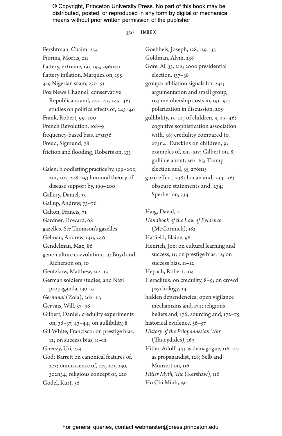#### 356 index

Fershtman, Chaim, 254 Fiorina, Morris, 211 flattery, extreme, 191, 193, 296n40 flattery inflation, Márquez on, 195 419 Nigerian scam, 250–51 Fox News Channel: conservative Republicans and, 242–43, 245–46; studies on politics effects of, 245–46 Frank, Robert, 99–100 French Revolution, 108–9 frequency-based bias, 275n36 Freud, Sigmund, 78 friction and flooding, Roberts on, 133

Galen: bloodletting practice by, 199–200, 201, 207, 228–29; humoral theory of disease support by, 199–200 Gallery, Daniel, 33 Gallup, Andrew, 75–76 Galton, Francis, 71 Gardner, Howard, 68 gazelles. *See* Thomson's gazelles Gelman, Andrew, 140, 246 Gendelman, Max, 86 gene-culture coevolution, 13; Boyd and Richerson on, 10 Gentzkow, Matthew, 212–13 German soldiers studies, and Nazi propaganda, 130–31 *Germinal* (Zola), 262–63 Gervais, Will, 37–38 Gilbert, Daniel: credulity experiments on, 36–37, 43–44; on gullibility, 8 Gil-White, Francisco: on prestige bias, 12; on success bias, 11–12 Gneezy, Uri, 254 God: Barrett on canonical features of, 223; omniscience of, 217, 223, 230, 302n34; religious concept of, 220 Gödel, Kurt, 56

Goebbels, Joseph, 128, 129, 135 Goldman, Alvin, 238 Gore, Al, 33, 212; 2000 presidential election, 137–38 groups: affiliation signals for, 241; argumentation and small group, 113; membership costs in, 191–92; polarization in discussion, 209 gullibility,  $13-14$ ; of children,  $9, 45-46$ ; cognitive sophistication association with, 38; credulity compared to, 273n4; Dawkins on children, 9; examples of, xiii–xiv; Gilbert on, 8; gullible about, 262–65; Trump election and, 35, 276n15 guru effect, 238; Lacan and, 234–36; obscure statements and, 234; Sperber on, 234

Haig, David, 21 *Handbook of the Law of Evidence* (McCormick), 182 Hatfield, Elaine, 98 Henrich, Joe: on cultural learning and success, 11; on prestige bias, 12; on success bias, 11–12 Hepach, Robert, 104 Heraclitus: on credulity, 8–9; on crowd psychology, 34 hidden dependencies: open vigilance mechanisms and, 174; religious beliefs and, 176; sourcing and, 172–75 historical evidence, 56-57 *History of the Peloponnesian War* (Thucydides), 167 Hitler, Adolf, 34; as demagogue, 116–21; as propagandist, 128; Selb and Munzert on, 116 *Hitler Myth, The* (Kershaw), 116 Ho Chi Minh, 191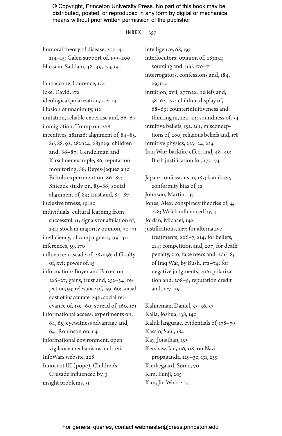#### index 357

214–15; Galen support of, 199–200 Hussein, Saddam, 48–49, 173, 190 Iannaccone, Laurence, 124 Icke, David, 172 ideological polarization, 212–13 illusion of unanimity, 112 imitation, reliable expertise and, 66–67 immigration, Trump on, 268 incentives, 282n26; alignment of, 84–85, 86, 88, 92, 282n24, 283n29; children and, 86–87; Gendelman and Kirschner example, 86; reputation monitoring, 88; Reyes-Jaquez and Echols experiment on, 86–87; Sniezek study on, 85–86; social alignment of, 89; trust and, 84–87 inclusive fitness, 19, 20 individuals: cultural learning from successful, 11; signals for affiliation of, 241; stock in majority opinion, 70–71 inefficiency, of campaigners, 139–40 inferences, 59, 170 influence: cascade of, 285n56; difficulty of, xvi; power of, 15 information: Boyer and Parren on, 226–27; gains, trust and, 252–54; rejection, 93; relevance of, 159–60; social cost of inaccurate, 246; social relevance of, 159–60; spread of, 160, 161 informational access: experiments on, 64, 65; eyewitness advantage and, 64; Robinson on, 64 informational environment, open vigilance mechanisms and, xvii InfoWars website, 228 Innocent III (pope), Children's Crusade influenced by, 3 insight problems, 51

humoral theory of disease, 202–4,

intelligence, 68, 195 interlocutors: opinion of, 283n31; sourcing and, 166, 170–71 interrogators, confessions and, 184, 295n14 intuition, xvii, 277n22; beliefs and, 58–62, 152; children display of, 68–69; counterintuitiveness and thinking in, 222–23; soundness of, 54 intuitive beliefs, 152, 261; misconceptions of, 260; religious beliefs and, 178 intuitive physics, 223–24, *224* Iraq War: backfire effect and, 48–49; Bush justification for, 172–74

Japan: confessions in, 185; kamikaze, conformity bias of, 12 Johnson, Martin, 137 Jones, Alex: conspiracy theories of, 4, 228; Welch influenced by, 4 Jordan, Michael, 142 justifications, 237; for alternative treatments, 206–7, 214; for beliefs, 214; competition and, 207; for death penalty, 210; fake news and, 206–8; of Iraq War, by Bush, 172–74; for negative judgments, 206; polarization and, 208–9; reputation credit and, 227–29

Kahneman, Daniel, 35–36, 37 Kalla, Joshua, 138, 140 Kaluli language, evidentials of, 178–79 Kassin, Saul, 184 Kay, Jonathan, 153 Kershaw, Ian, 116, 118; on Nazi propaganda, 129–30, 131, 259 Kierkegaard, Søren, 70 Kim, Eunji, 205 Kim, Jin Woo, 205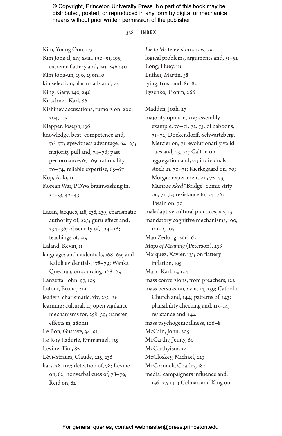#### 358 index

Kim, Young Oon, 123 Kim Jong-il, xiv, xviii, 190–91, 195; extreme flattery and, 193, 296n40 Kim Jong-un, 190, 296n40 kin selection, alarm calls and, 22 King, Gary, 140, 246 Kirschner, Karl, 86 Kishinev accusations, rumors on, 200, 204, 215 Klapper, Joseph, 136 knowledge, best: competence and, 76–77; eyewitness advantage, 64–65; majority pull and, 74–76; past performance, 67–69; rationality, 70–74; reliable expertise, 65–67 Koji, Aoki, 110 Korean War, POWs brainwashing in, 32–33, 42–43

Lacan, Jacques, 218, 238, 239; charismatic authority of, 225; guru effect and, 234–36; obscurity of, 234–36; teachings of, 219 Laland, Kevin, 11 language: and evidentials, 168–69; and Kaluli evidentials, 178–79; Wanka Quechua, on sourcing, 168–69 Lanzetta, John, 97, 105 Latour, Bruno, 219 leaders, charismatic, xiv, 225–26 learning: cultural, 11; open vigilance mechanisms for, 258–59; transfer effects in, 280n11 Le Bon, Gustave, 34, 96 Le Roy Ladurie, Emmanuel, 125 Levine, Tim, 82 Lévi-Strauss, Claude, 225, 236 liars, 282n17; detection of, 78; Levine on, 82; nonverbal cues of, 78–79; Reid on, 82

*Lie to Me* television show, 79 logical problems, arguments and, 51–52 Long, Huey, 116 Luther, Martin, 58 lying, trust and, 81–82 Lysenko, Trofim, 266

Madden, Joah, 27 majority opinion, xiv; assembly example, 70–71, 72, 73; of baboons, 71–72; Dockendorff, Schwartzberg, Mercier on, 71; evolutionarily valid cues and, 73, 74; Galton on aggregation and, 71; individuals stock in, 70–71; Kierkegaard on, 70; Morgan experiment on, 72–73; Munroe *xkcd* "Bridge" comic strip on, 71, *72*; resistance to, 74–76; Twain on, 70 maladaptive cultural practices, xiv, 13 mandatory cognitive mechanisms, 100, 101–2, 105 Mao Zedong, 266–67 *Maps of Meaning* (Peterson), 238 Márquez, Xavier, 133; on flattery inflation, 195 Marx, Karl, 13, 124 mass conversions, from preachers, 122 mass persuasion, xviii, 14, 259; Catholic Church and, 144; patterns of, 143; plausibility checking and, 113–14; resistance and, 144 mass psychogenic illness, 106–8 McCain, John, 205 McCarthy, Jenny, 60 McCarthyism, 32 McCloskey, Michael, 223 McCormick, Charles, 182 media: campaigners influence and, 136–37, 140; Gelman and King on

For general queries, contact webmaster@press princeton edu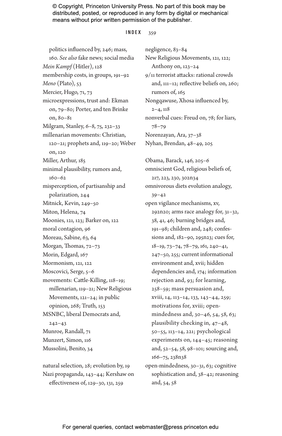#### index 359

politics influenced by, 246; mass, 160. *See also* fake news; social media *Mein Kampf* (Hitler), 128 membership costs, in groups, 191–92 *Meno* (Plato), 53 Mercier, Hugo, 71, 73 microexpressions, trust and: Ekman on, 79–80; Porter, and ten Brinke on, 80–81 Milgram, Stanley, 6–8, 75, 232–33 millenarian movements: Christian, 120–21; prophets and, 119–20; Weber on, 120 Miller, Arthur, 185 minimal plausibility, rumors and,  $160 - 62$ misperception, of partisanship and polarization, 244 Mitnick, Kevin, 249–50 Miton, Helena, 74 Moonies, 121, 123; Barker on, 122 moral contagion, 96 Moreau, Sabine, 63, 64 Morgan, Thomas, 72–73 Morin, Edgard, 167 Mormonism, 121, 122 Moscovici, Serge, 5–6 movements: Cattle-Killing, 118–19; millenarian, 119–21; New Religious Movements, 121–24; in public opinion, 268; Truth, 153 MSNBC, liberal Democrats and,  $242 - 43$ Munroe, Randall, 71 Munzert, Simon, 116 Mussolini, Benito, 34

natural selection, 28; evolution by, 19 Nazi propaganda, 143–44; Kershaw on effectiveness of, 129–30, 131, 259

negligence, 83–84 New Religious Movements, 121, 122; Anthony on, 123–24 9/11 terrorist attacks: rational crowds and, 111–12; reflective beliefs on, 260; rumors of, 165 Nongqawuse, Xhosa influenced by,  $2 - 4, 118$ nonverbal cues: Freud on, 78; for liars, 78–79 Norenzayan, Ara, 37–38 Nyhan, Brendan, 48–49, 205

Obama, Barack, 146, 205–6 omniscient God, religious beliefs of, 217, 223, 230, 302n34 omnivorous diets evolution analogy, 39–42 open vigilance mechanisms, xv, 292n20; arms race analogy for, 31–32, 38, 41, 46; burning bridges and, 191–98; children and, 248; confessions and, 182–90, 295n23; cues for, 18–19, 73–74, 78–79, 161, 240–41, 247–50, 255; current informational environment and, xvii; hidden dependencies and, 174; information rejection and, 93; for learning, 258–59; mass persuasion and, xviii, 14, 113–14, 133, 143–44, 259; motivations for, xviii; openmindedness and, 30–46, 54, 58, 63; plausibility checking in, 47–48, 50–55, 113–14, 221; psychological experiments on, 144–45; reasoning and, 52–54, 58, 98–101; sourcing and, 166–75, 238n38 open-mindedness, 30–31, 63; cognitive sophistication and, 38–42; reasoning

and, 54, 58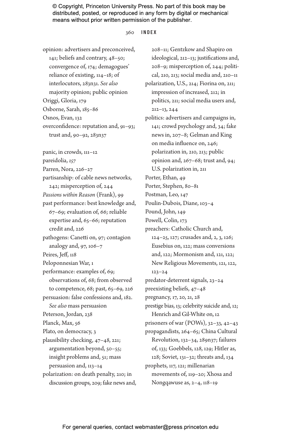#### 360 index

opinion: advertisers and preconceived, 141; beliefs and contrary, 48–50; convergence of, 174; demagogues' reliance of existing, 114–18; of interlocutors, 283n31. *See also* majority opinion; public opinion Origgi, Gloria, 179 Osborne, Sarah, 185–86 Osnos, Evan, 132 overconfidence: reputation and, 91–93; trust and, 90–92, 283n37

panic, in crowds, 111–12 pareidolia, *157* Parren, Nora, 226–27 partisanship: of cable news networks, 242; misperception of, 244 *Passions within Reason* (Frank), 99 past performance: best knowledge and, 67–69; evaluation of, 66; reliable expertise and, 65–66; reputation credit and, 226 pathogens: Canetti on, 97; contagion analogy and, 97, 106–7 Peires, Jeff, 118 Peloponnesian War, 1 performance: examples of, 69; observations of, 68; from observed to competence, 68; past, 65–69, 226 persuasion: false confessions and, 182. *See also* mass persuasion Peterson, Jordan, 238 Planck, Max, 56 Plato, on democracy, 3 plausibility checking, 47–48, 221; argumentation beyond, 50–55; insight problems and, 51; mass persuasion and, 113–14 polarization: on death penalty, 210; in discussion groups, 209; fake news and,

208–11; Gentzkow and Shapiro on ideological, 212–13; justifications and, 208–9; misperception of, 244; political, 210, 213; social media and, 210–11 polarization, U.S., 214; Fiorina on, 211; impression of increased, 212; in politics, 211; social media users and, 212–13, 244 politics: advertisers and campaigns in, 141; crowd psychology and, 34; fake news in, 207–8; Gelman and King on media influence on, 246; polarization in, 210, 213; public opinion and, 267–68; trust and, 94; U.S. polarization in, 211 Porter, Ethan, 49 Porter, Stephen, 80–81 Postman, Leo, 147 Poulin-Dubois, Diane, 103–4 Pound, John, 149 Powell, Colin, 173 preachers: Catholic Church and, 124–25, 127; crusades and, 2, 3, 126; Eusebius on, 122; mass conversions and, 122; Mormonism and, 121, 122; New Religious Movements, 121, 122, 123–24 predator-deterrent signals, 23–24 preexisting beliefs, 47–48 pregnancy, 17, 20, 21, 28 prestige bias, 13; celebrity suicide and, 12; Henrich and Gil-White on, 12 prisoners of war (POWs), 32–33, 42–43 propagandists, 264–65; China Cultural Revolution, 132–34, 289n37; failures of, 133; Goebbels, 128, 129; Hitler as, 128; Soviet, 131–32; threats and, 134 prophets, 117, 121; millenarian movements of, 119–20; Xhosa and Nongqawuse as, 2–4, 118–19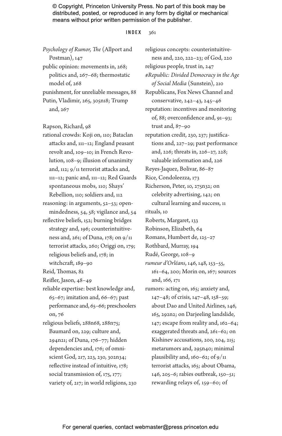#### index 361

*Psychology of Rumor, The* (Allport and Postman), 147 public opinion: movements in, 268; politics and, 267–68; thermostatic model of, 268 punishment, for unreliable messages, 88 Putin, Vladimir, 265, 305n18; Trump and, 267

Rapson, Richard, 98

rational crowds: Koji on, 110; Bataclan attacks and, 111–12; England peasant revolt and, 109–10; in French Revolution, 108–9; illusion of unanimity and, 112; 9/11 terrorist attacks and, 111–12; panic and, 111–12; Red Guards spontaneous mobs, 110; Shays' Rebellion, 110; soldiers and, 112

- reasoning: in arguments, 52–53; openmindedness, 54, 58; vigilance and, 54
- reflective beliefs, 152; burning bridges strategy and, 196; counterintuitiveness and, 261; of Duna, 178; on 9/11 terrorist attacks, 260; Origgi on, 179; religious beliefs and, 178; in witchcraft, 189–90

Reid, Thomas, 82

- Reifler, Jason, 48–49
- reliable expertise: best knowledge and, 65–67; imitation and, 66–67; past performance and, 65–66; preschoolers on, 76
- religious beliefs, 288n68, 288n75; Baumard on, 229; culture and, 294n21; of Duna, 176–77; hidden dependencies and, 176; of omniscient God, 217, 223, 230, 302n34; reflective instead of intuitive, 178; social transmission of, 175, 177; variety of, 217; in world religions, 230

religious concepts: counterintuitiveness and, 220, 222–23; of God, 220 religious people, trust in, 247 *#Republic: Divided Democracy in the Age of Social Media* (Sunstein), 210 Republicans, Fox News Channel and conservative, 242–43, 245–46 reputation: incentives and monitoring of, 88; overconfidence and, 91–93; trust and, 87–90 reputation credit, 230, 237; justifications and, 227–29; past performance and, 226; threats in, 226–27, 228; valuable information and, 226 Reyes-Jaquez, Bolivar, 86–87 Rice, Condoleezza, 173 Richerson, Peter, 10, 275n32; on celebrity advertising, 142; on cultural learning and success, 11 rituals, 10 Roberts, Margaret, 133 Robinson, Elizabeth, 64 Romans, Humbert de, 125–27 Rothbard, Murray, 194 Rudé, George, 108–9 *rumeur d'Orléans*, 146, 148, 153–55, 161–64, 200; Morin on, 167; sources and, 166, 171 rumors: acting on, 165; anxiety and, 147–48; of crisis, 147–48, 158–59; about Dao and United Airlines, 146, 165, 292n2; on Darjeeling landslide, 147; escape from reality and, 162–64; exaggerated threats and, 261–62; on Kishinev accusations, 200, 204, 215; metarumors and, 295n40; minimal plausibility and, 160–62; of  $9/11$ terrorist attacks, 165; about Obama, 146, 205–6; rabies outbreak, 150–51; rewarding relays of, 159–60; of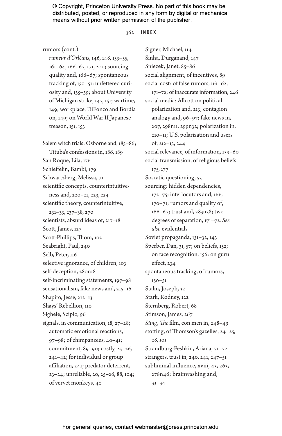#### 362 index

#### rumors (cont.)

*rumeur d'Orléans*, 146, 148, 153–55, 161–64, 166–67, 171, 200; sourcing quality and, 166–67; spontaneous tracking of, 150–51; unfettered curiosity and, 155–59; about University of Michigan strike, 147, 151; wartime, 149; workplace, DiFonzo and Bordia on, 149; on World War II Japanese treason, 151, 153

Salem witch trials: Osborne and, 185-86; Tituba's confessions in, 186, 189 San Roque, Lila, 176 Schieffelin, Bambi, 179 Schwartzberg, Melissa, 71 scientific concepts, counterintuitiveness and, 220–21, 223, *224* scientific theory, counterintuitive, 231–33, 237–38, 270 scientists, absurd ideas of, 217–18 Scott, James, 127 Scott-Phillips, Thom, 102 Seabright, Paul, 240 Selb, Peter, 116 selective ignorance, of children, 103 self-deception, 280n18 self-incriminating statements, 197–98 sensationalism, fake news and, 215–16 Shapiro, Jesse, 212–13 Shays' Rebellion, 110 Sighele, Scipio, 96 signals, in communication, 18, 27–28; automatic emotional reactions, 97–98; of chimpanzees, 40–41; commitment, 89–90; costly, 25–26, 241–42; for individual or group affiliation, 241; predator deterrent, 23–24; unreliable, 20, 25–26, 88, 104; of vervet monkeys, 40

Signer, Michael, 114 Sinha, Durganand, 147 Sniezek, Janet, 85–86 social alignment, of incentives, 89 social cost: of false rumors, 161–62, 171–72; of inaccurate information, 246 social media: Allcott on political polarization and, 213; contagion analogy and, 96–97; fake news in, 207, 298n11, 299n32; polarization in, 210–11; U.S. polarization and users of, 212–13, 244 social relevance, of information, 159–60 social transmission, of religious beliefs, 175, 177 Socratic questioning, 53 sourcing: hidden dependencies, 172–75; interlocutors and, 166, 170–71; rumors and quality of, 166–67; trust and, 283n38; two degrees of separation, 171–72. *See also* evidentials Soviet propaganda, 131–32, 143 Sperber, Dan, 31, 57; on beliefs, 152; on face recognition, 156; on guru effect, 234 spontaneous tracking, of rumors, 150–51 Stalin, Joseph, 32 Stark, Rodney, 122 Sternberg, Robert, 68 Stimson, James, 267 *Sting, The* film, con men in, 248–49 stotting, of Thomson's gazelles, 24–25, 28, 101 Strandburg-Peshkin, Ariana, 71–72 strangers, trust in, 240, 241, 247–51 subliminal influence, xviii, 43, 263, 278n46; brainwashing and, 33–34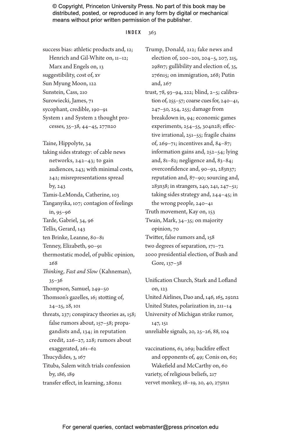#### INDEX  $363$

success bias: athletic products and, 12; Henrich and Gil-White on, 11–12; Marx and Engels on, 13 suggestibility, cost of, xv Sun Myung Moon, 122 Sunstein, Cass, 210 Surowiecki, James, 71 sycophant, credible, 190–91 System 1 and System 2 thought processes, 35–38, 44–45, 277n20

Taine, Hippolyte, 34

taking sides strategy: of cable news networks, 242–43; to gain audiences, 243; with minimal costs, 242; misrepresentations spread by, 243 Tamis-LeMonda, Catherine, 103 Tanganyika, 107; contagion of feelings in, 95–96 Tarde, Gabriel, 34, 96 Tellis, Gerard, 143 ten Brinke, Leanne, 80–81 Tenney, Elizabeth, 90–91 thermostatic model, of public opinion, 268 *Thinking, Fast and Slow* (Kahneman), 35–36 Thompson, Samuel, 249–50 Thomson's gazelles, 16; stotting of, 24–25, 28, 101 threats, 237; conspiracy theories as, 158; false rumors about, 157–58; propagandists and, 134; in reputation credit, 226–27, 228; rumors about exaggerated, 261–62 Thucydides, 3, 167 Tituba, Salem witch trials confession by, 186, 189 transfer effect, in learning, 280n11

Trump, Donald, 212; fake news and election of, 200–201, 204–5, 207, 215, 298n7; gullibility and election of, 35, 276n15; on immigration, 268; Putin and, 267

trust, 78, 93–94, 222; blind, 2–5; calibration of, 255–57; coarse cues for, 240–41, 247–50, 254, 255; damage from breakdown in, 94; economic games experiments, 254–55, 304n28; effective irrational, 251–55; fragile chains of, 269–71; incentives and, 84–87; information gains and, 252–54; lying and, 81–82; negligence and, 83–84; overconfidence and, 90–92, 283n37; reputation and, 87–90; sourcing and, 283n38; in strangers, 240, 241, 247–51; taking sides strategy and, 244–45; in the wrong people, 240–41 Truth movement, Kay on, 153 Twain, Mark, 34–35; on majority opinion, 70 Twitter, false rumors and, 158 two degrees of separation, 171–72 2000 presidential election, of Bush and Gore, 137–38

Unification Church, Stark and Lofland on, 123 United Airlines, Dao and, 146, 165, 292n2 United States, polarization in, 211–14 University of Michigan strike rumor, 147, 151 unreliable signals, 20, 25–26, 88, 104

vaccinations, 61, 269; backfire effect and opponents of, 49; Conis on, 60; Wakefield and McCarthy on, 60 variety, of religious beliefs, 217 vervet monkey, 18–19, 20, 40, 275n11